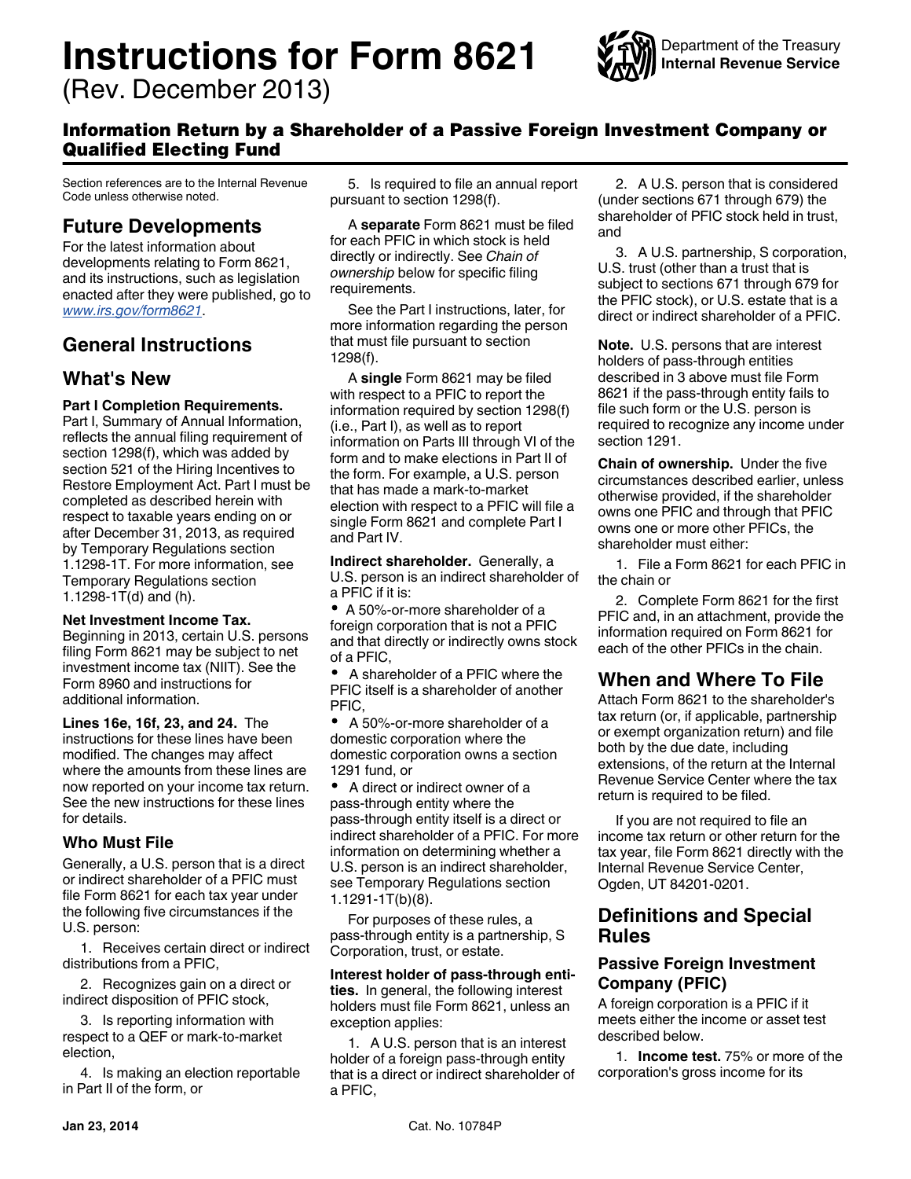# **Instructions for Form 8621**

(Rev. December 2013)



# Information Return by a Shareholder of a Passive Foreign Investment Company or Qualified Electing Fund

Section references are to the Internal Revenue Code unless otherwise noted.

# **Future Developments**

For the latest information about developments relating to Form 8621, and its instructions, such as legislation enacted after they were published, go to *[www.irs.gov/form8621](http://www.irs.gov/form8621)*.

# **General Instructions**

# **What's New**

## **Part I Completion Requirements.**

Part I, Summary of Annual Information, reflects the annual filing requirement of section 1298(f), which was added by section 521 of the Hiring Incentives to Restore Employment Act. Part I must be completed as described herein with respect to taxable years ending on or after December 31, 2013, as required by Temporary Regulations section 1.1298-1T. For more information, see Temporary Regulations section 1.1298-1T(d) and (h).

#### **Net Investment Income Tax.**

Beginning in 2013, certain U.S. persons filing Form 8621 may be subject to net investment income tax (NIIT). See the Form 8960 and instructions for additional information.

**Lines 16e, 16f, 23, and 24.** The instructions for these lines have been modified. The changes may affect where the amounts from these lines are now reported on your income tax return. See the new instructions for these lines for details.

# **Who Must File**

Generally, a U.S. person that is a direct or indirect shareholder of a PFIC must file Form 8621 for each tax year under the following five circumstances if the U.S. person:

1. Receives certain direct or indirect distributions from a PFIC,

2. Recognizes gain on a direct or indirect disposition of PFIC stock,

3. Is reporting information with respect to a QEF or mark-to-market election,

4. Is making an election reportable in Part II of the form, or

5. Is required to file an annual report pursuant to section 1298(f).

A **separate** Form 8621 must be filed for each PFIC in which stock is held directly or indirectly. See *Chain of ownership* below for specific filing requirements.

See the Part I instructions, later, for more information regarding the person that must file pursuant to section 1298(f).

A **single** Form 8621 may be filed with respect to a PFIC to report the information required by section 1298(f) (i.e., Part I), as well as to report information on Parts III through VI of the form and to make elections in Part II of the form. For example, a U.S. person that has made a mark-to-market election with respect to a PFIC will file a single Form 8621 and complete Part I and Part IV.

**Indirect shareholder.** Generally, a U.S. person is an indirect shareholder of a PFIC if it is:

A 50%-or-more shareholder of a foreign corporation that is not a PFIC and that directly or indirectly owns stock of a PFIC,

 A shareholder of a PFIC where the PFIC itself is a shareholder of another PFIC,

 A 50%-or-more shareholder of a domestic corporation where the domestic corporation owns a section 1291 fund, or

 A direct or indirect owner of a pass-through entity where the pass-through entity itself is a direct or indirect shareholder of a PFIC. For more information on determining whether a U.S. person is an indirect shareholder, see Temporary Regulations section 1.1291-1T(b)(8).

For purposes of these rules, a pass-through entity is a partnership, S Corporation, trust, or estate.

#### **Interest holder of pass-through entities.** In general, the following interest holders must file Form 8621, unless an exception applies:

1. A U.S. person that is an interest holder of a foreign pass-through entity that is a direct or indirect shareholder of a PFIC,

2. A U.S. person that is considered (under sections 671 through 679) the shareholder of PFIC stock held in trust, and

3. A U.S. partnership, S corporation, U.S. trust (other than a trust that is subject to sections 671 through 679 for the PFIC stock), or U.S. estate that is a direct or indirect shareholder of a PFIC.

**Note.** U.S. persons that are interest holders of pass-through entities described in 3 above must file Form 8621 if the pass-through entity fails to file such form or the U.S. person is required to recognize any income under section 1291.

**Chain of ownership.** Under the five circumstances described earlier, unless otherwise provided, if the shareholder owns one PFIC and through that PFIC owns one or more other PFICs, the shareholder must either:

1. File a Form 8621 for each PFIC in the chain or

2. Complete Form 8621 for the first PFIC and, in an attachment, provide the information required on Form 8621 for each of the other PFICs in the chain.

# **When and Where To File**

Attach Form 8621 to the shareholder's tax return (or, if applicable, partnership or exempt organization return) and file both by the due date, including extensions, of the return at the Internal Revenue Service Center where the tax return is required to be filed.

If you are not required to file an income tax return or other return for the tax year, file Form 8621 directly with the Internal Revenue Service Center, Ogden, UT 84201-0201.

# **Definitions and Special Rules**

# **Passive Foreign Investment Company (PFIC)**

A foreign corporation is a PFIC if it meets either the income or asset test described below.

1. **Income test.** 75% or more of the corporation's gross income for its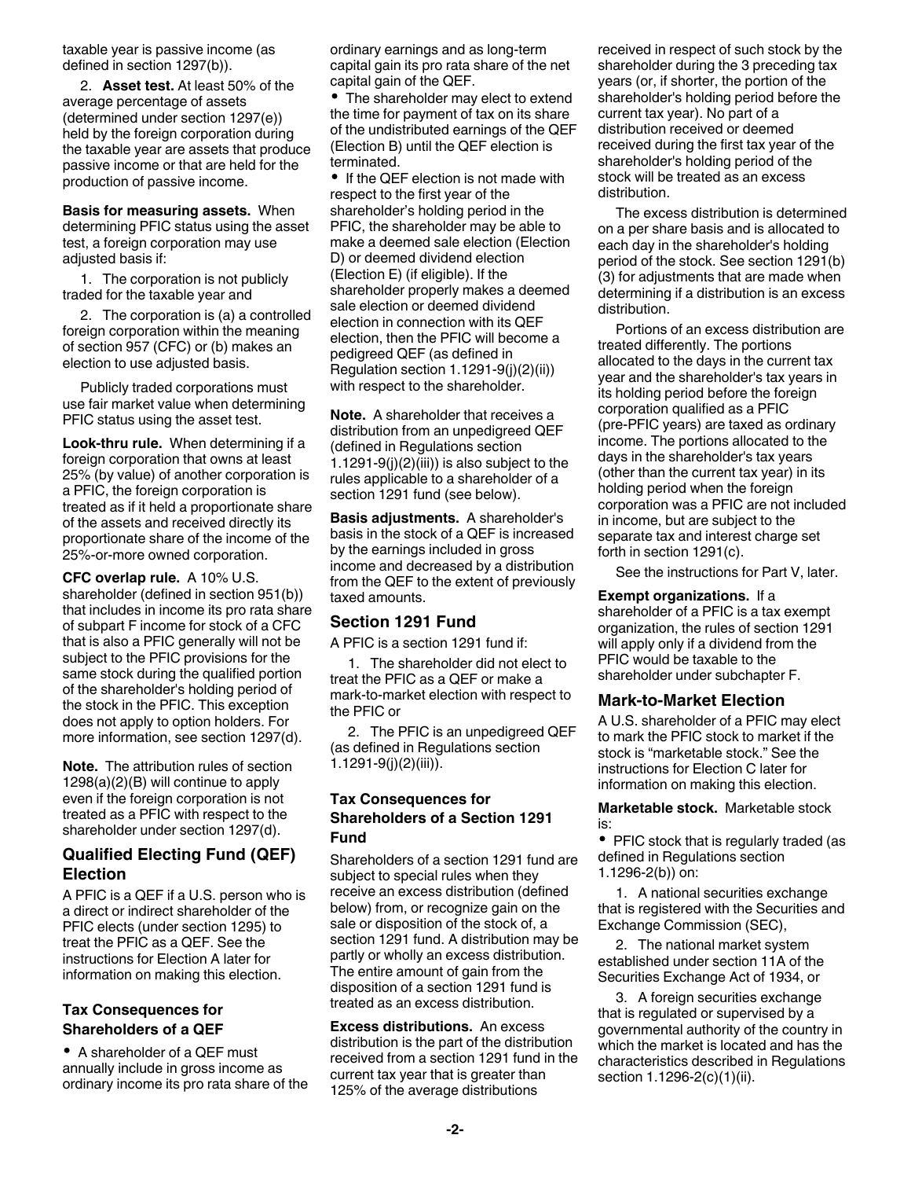taxable year is passive income (as defined in section 1297(b)).

2. **Asset test.** At least 50% of the average percentage of assets (determined under section 1297(e)) held by the foreign corporation during the taxable year are assets that produce passive income or that are held for the production of passive income.

**Basis for measuring assets.** When determining PFIC status using the asset test, a foreign corporation may use adjusted basis if:

1. The corporation is not publicly traded for the taxable year and

2. The corporation is (a) a controlled foreign corporation within the meaning of section 957 (CFC) or (b) makes an election to use adjusted basis.

Publicly traded corporations must use fair market value when determining PFIC status using the asset test.

**Look-thru rule.** When determining if a foreign corporation that owns at least 25% (by value) of another corporation is a PFIC, the foreign corporation is treated as if it held a proportionate share of the assets and received directly its proportionate share of the income of the 25%-or-more owned corporation.

**CFC overlap rule.** A 10% U.S. shareholder (defined in section 951(b)) that includes in income its pro rata share of subpart F income for stock of a CFC that is also a PFIC generally will not be subject to the PFIC provisions for the same stock during the qualified portion of the shareholder's holding period of the stock in the PFIC. This exception does not apply to option holders. For more information, see section 1297(d).

**Note.** The attribution rules of section  $1298(a)(2)(B)$  will continue to apply even if the foreign corporation is not treated as a PFIC with respect to the shareholder under section 1297(d).

# **Qualified Electing Fund (QEF) Election**

A PFIC is a QEF if a U.S. person who is a direct or indirect shareholder of the PFIC elects (under section 1295) to treat the PFIC as a QEF. See the instructions for Election A later for information on making this election.

# **Tax Consequences for Shareholders of a QEF**

A shareholder of a QEF must annually include in gross income as ordinary income its pro rata share of the ordinary earnings and as long-term capital gain its pro rata share of the net capital gain of the QEF.

• The shareholder may elect to extend the time for payment of tax on its share of the undistributed earnings of the QEF (Election B) until the QEF election is terminated.

• If the QEF election is not made with respect to the first year of the shareholder's holding period in the PFIC, the shareholder may be able to make a deemed sale election (Election D) or deemed dividend election (Election E) (if eligible). If the shareholder properly makes a deemed sale election or deemed dividend election in connection with its QEF election, then the PFIC will become a pedigreed QEF (as defined in Regulation section 1.1291-9(j)(2)(ii)) with respect to the shareholder.

**Note.** A shareholder that receives a distribution from an unpedigreed QEF (defined in Regulations section 1.1291-9(j) $(2)$ (iii)) is also subject to the rules applicable to a shareholder of a section 1291 fund (see below).

**Basis adjustments.** A shareholder's basis in the stock of a QEF is increased by the earnings included in gross income and decreased by a distribution from the QEF to the extent of previously taxed amounts.

# **Section 1291 Fund**

A PFIC is a section 1291 fund if:

1. The shareholder did not elect to treat the PFIC as a QEF or make a mark-to-market election with respect to the PFIC or

2. The PFIC is an unpedigreed QEF (as defined in Regulations section 1.1291-9(j)(2)(iii)).

# **Tax Consequences for Shareholders of a Section 1291 Fund**

Shareholders of a section 1291 fund are subject to special rules when they receive an excess distribution (defined below) from, or recognize gain on the sale or disposition of the stock of, a section 1291 fund. A distribution may be partly or wholly an excess distribution. The entire amount of gain from the disposition of a section 1291 fund is treated as an excess distribution.

**Excess distributions.** An excess distribution is the part of the distribution received from a section 1291 fund in the current tax year that is greater than 125% of the average distributions

received in respect of such stock by the shareholder during the 3 preceding tax years (or, if shorter, the portion of the shareholder's holding period before the current tax year). No part of a distribution received or deemed received during the first tax year of the shareholder's holding period of the stock will be treated as an excess distribution.

The excess distribution is determined on a per share basis and is allocated to each day in the shareholder's holding period of the stock. See section 1291(b) (3) for adjustments that are made when determining if a distribution is an excess distribution.

Portions of an excess distribution are treated differently. The portions allocated to the days in the current tax year and the shareholder's tax years in its holding period before the foreign corporation qualified as a PFIC (pre-PFIC years) are taxed as ordinary income. The portions allocated to the days in the shareholder's tax years (other than the current tax year) in its holding period when the foreign corporation was a PFIC are not included in income, but are subject to the separate tax and interest charge set forth in section 1291(c).

See the instructions for Part V, later.

**Exempt organizations.** If a shareholder of a PFIC is a tax exempt organization, the rules of section 1291 will apply only if a dividend from the PFIC would be taxable to the shareholder under subchapter F.

# **Mark-to-Market Election**

A U.S. shareholder of a PFIC may elect to mark the PFIC stock to market if the stock is "marketable stock." See the instructions for Election C later for information on making this election.

**Marketable stock.** Marketable stock is:

• PFIC stock that is regularly traded (as defined in Regulations section 1.1296-2(b)) on:

1. A national securities exchange that is registered with the Securities and Exchange Commission (SEC),

2. The national market system established under section 11A of the Securities Exchange Act of 1934, or

3. A foreign securities exchange that is regulated or supervised by a governmental authority of the country in which the market is located and has the characteristics described in Regulations section 1.1296-2(c)(1)(ii).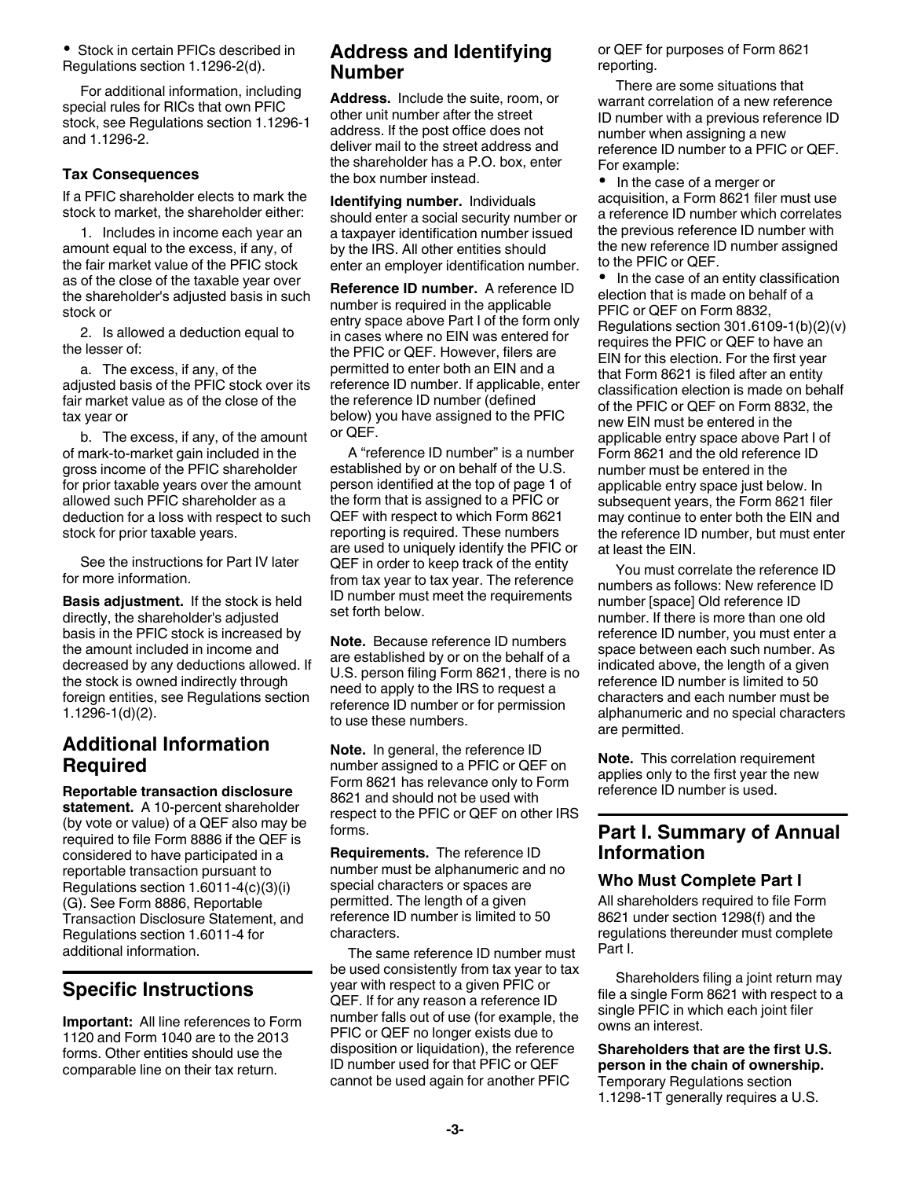Stock in certain PFICs described in Regulations section 1.1296-2(d).

For additional information, including special rules for RICs that own PFIC stock, see Regulations section 1.1296-1 and 1.1296-2.

#### **Tax Consequences**

If a PFIC shareholder elects to mark the stock to market, the shareholder either:

1. Includes in income each year an amount equal to the excess, if any, of the fair market value of the PFIC stock as of the close of the taxable year over the shareholder's adjusted basis in such stock or

2. Is allowed a deduction equal to the lesser of:

a. The excess, if any, of the adjusted basis of the PFIC stock over its fair market value as of the close of the tax year or

b. The excess, if any, of the amount of mark-to-market gain included in the gross income of the PFIC shareholder for prior taxable years over the amount allowed such PFIC shareholder as a deduction for a loss with respect to such stock for prior taxable years.

See the instructions for Part IV later for more information.

**Basis adjustment.** If the stock is held directly, the shareholder's adjusted basis in the PFIC stock is increased by the amount included in income and decreased by any deductions allowed. If the stock is owned indirectly through foreign entities, see Regulations section 1.1296-1(d)(2).

# **Additional Information Required**

**Reportable transaction disclosure statement.** A 10-percent shareholder (by vote or value) of a QEF also may be required to file Form 8886 if the QEF is considered to have participated in a reportable transaction pursuant to Regulations section 1.6011-4(c)(3)(i) (G). See Form 8886, Reportable Transaction Disclosure Statement, and Regulations section 1.6011-4 for additional information.

# **Specific Instructions**

**Important:** All line references to Form 1120 and Form 1040 are to the 2013 forms. Other entities should use the comparable line on their tax return.

# **Address and Identifying Number**

**Address.** Include the suite, room, or other unit number after the street address. If the post office does not deliver mail to the street address and the shareholder has a P.O. box, enter the box number instead.

**Identifying number.** Individuals should enter a social security number or a taxpayer identification number issued by the IRS. All other entities should enter an employer identification number.

**Reference ID number.** A reference ID number is required in the applicable entry space above Part I of the form only in cases where no EIN was entered for the PFIC or QEF. However, filers are permitted to enter both an EIN and a reference ID number. If applicable, enter the reference ID number (defined below) you have assigned to the PFIC or QEF.

A "reference ID number" is a number established by or on behalf of the U.S. person identified at the top of page 1 of the form that is assigned to a PFIC or QEF with respect to which Form 8621 reporting is required. These numbers are used to uniquely identify the PFIC or QEF in order to keep track of the entity from tax year to tax year. The reference ID number must meet the requirements set forth below.

**Note.** Because reference ID numbers are established by or on the behalf of a U.S. person filing Form 8621, there is no need to apply to the IRS to request a reference ID number or for permission to use these numbers.

**Note.** In general, the reference ID number assigned to a PFIC or QEF on Form 8621 has relevance only to Form 8621 and should not be used with respect to the PFIC or QEF on other IRS forms.

**Requirements.** The reference ID number must be alphanumeric and no special characters or spaces are permitted. The length of a given reference ID number is limited to 50 characters.

The same reference ID number must be used consistently from tax year to tax year with respect to a given PFIC or QEF. If for any reason a reference ID number falls out of use (for example, the PFIC or QEF no longer exists due to disposition or liquidation), the reference ID number used for that PFIC or QEF cannot be used again for another PFIC

or QEF for purposes of Form 8621 reporting.

There are some situations that warrant correlation of a new reference ID number with a previous reference ID number when assigning a new reference ID number to a PFIC or QEF. For example:

 In the case of a merger or acquisition, a Form 8621 filer must use a reference ID number which correlates the previous reference ID number with the new reference ID number assigned to the PFIC or QEF.

 In the case of an entity classification election that is made on behalf of a PFIC or QEF on Form 8832, Regulations section 301.6109-1(b)(2)(v) requires the PFIC or QEF to have an EIN for this election. For the first year that Form 8621 is filed after an entity classification election is made on behalf of the PFIC or QEF on Form 8832, the new EIN must be entered in the applicable entry space above Part I of Form 8621 and the old reference ID number must be entered in the applicable entry space just below. In subsequent years, the Form 8621 filer may continue to enter both the EIN and the reference ID number, but must enter at least the EIN.

You must correlate the reference ID numbers as follows: New reference ID number [space] Old reference ID number. If there is more than one old reference ID number, you must enter a space between each such number. As indicated above, the length of a given reference ID number is limited to 50 characters and each number must be alphanumeric and no special characters are permitted.

**Note.** This correlation requirement applies only to the first year the new reference ID number is used.

# **Part I. Summary of Annual Information**

#### **Who Must Complete Part I**

All shareholders required to file Form 8621 under section 1298(f) and the regulations thereunder must complete Part I.

Shareholders filing a joint return may file a single Form 8621 with respect to a single PFIC in which each joint filer owns an interest.

**Shareholders that are the first U.S. person in the chain of ownership.**  Temporary Regulations section 1.1298-1T generally requires a U.S.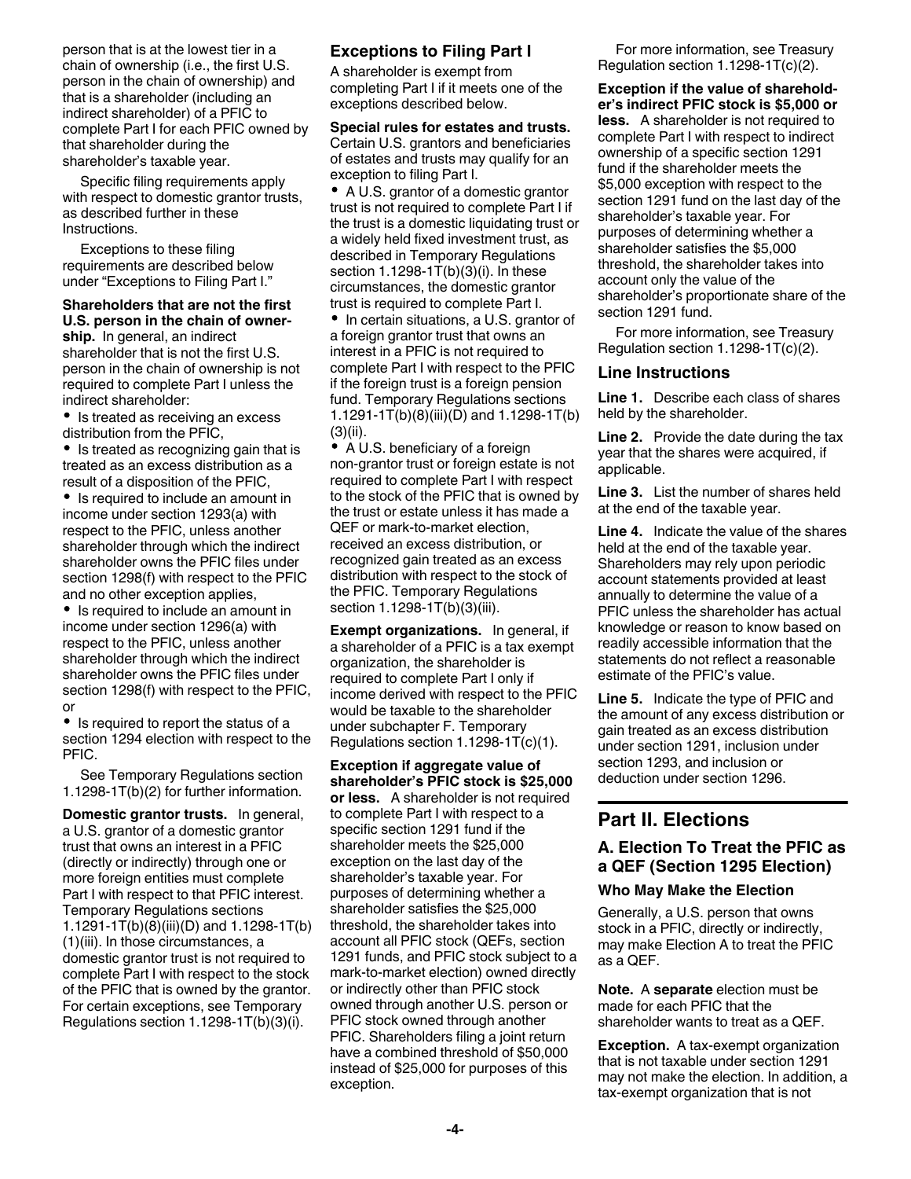person that is at the lowest tier in a chain of ownership (i.e., the first U.S. person in the chain of ownership) and that is a shareholder (including an indirect shareholder) of a PFIC to complete Part I for each PFIC owned by that shareholder during the shareholder's taxable year.

Specific filing requirements apply with respect to domestic grantor trusts, as described further in these Instructions.

Exceptions to these filing requirements are described below under "Exceptions to Filing Part I."

## **Shareholders that are not the first U.S. person in the chain of owner-**

**ship.** In general, an indirect shareholder that is not the first U.S. person in the chain of ownership is not required to complete Part I unless the indirect shareholder:

• Is treated as receiving an excess distribution from the PFIC,

• Is treated as recognizing gain that is treated as an excess distribution as a result of a disposition of the PFIC,

• Is required to include an amount in income under section 1293(a) with respect to the PFIC, unless another shareholder through which the indirect shareholder owns the PFIC files under section 1298(f) with respect to the PFIC and no other exception applies,

• Is required to include an amount in income under section 1296(a) with respect to the PFIC, unless another shareholder through which the indirect shareholder owns the PFIC files under section 1298(f) with respect to the PFIC, or

• Is required to report the status of a section 1294 election with respect to the PFIC.

See Temporary Regulations section 1.1298-1T(b)(2) for further information.

**Domestic grantor trusts.** In general, a U.S. grantor of a domestic grantor trust that owns an interest in a PFIC (directly or indirectly) through one or more foreign entities must complete Part I with respect to that PFIC interest. Temporary Regulations sections 1.1291-1T(b)(8)(iii)(D) and 1.1298-1T(b) (1)(iii). In those circumstances, a domestic grantor trust is not required to complete Part I with respect to the stock of the PFIC that is owned by the grantor. For certain exceptions, see Temporary Regulations section 1.1298-1T(b)(3)(i).

# **Exceptions to Filing Part I**

A shareholder is exempt from completing Part I if it meets one of the exceptions described below.

**Special rules for estates and trusts.**  Certain U.S. grantors and beneficiaries of estates and trusts may qualify for an exception to filing Part I.

A U.S. grantor of a domestic grantor trust is not required to complete Part I if the trust is a domestic liquidating trust or a widely held fixed investment trust, as described in Temporary Regulations section 1.1298-1T(b)(3)(i). In these circumstances, the domestic grantor trust is required to complete Part I.

• In certain situations, a U.S. grantor of a foreign grantor trust that owns an interest in a PFIC is not required to complete Part I with respect to the PFIC if the foreign trust is a foreign pension fund. Temporary Regulations sections 1.1291-1T(b)(8)(iii)(D) and 1.1298-1T(b) (3)(ii).

• A U.S. beneficiary of a foreign non-grantor trust or foreign estate is not required to complete Part I with respect to the stock of the PFIC that is owned by the trust or estate unless it has made a QEF or mark-to-market election, received an excess distribution, or recognized gain treated as an excess distribution with respect to the stock of the PFIC. Temporary Regulations section 1.1298-1T(b)(3)(iii).

**Exempt organizations.** In general, if a shareholder of a PFIC is a tax exempt organization, the shareholder is required to complete Part I only if income derived with respect to the PFIC would be taxable to the shareholder under subchapter F. Temporary Regulations section 1.1298-1T(c)(1).

**Exception if aggregate value of shareholder's PFIC stock is \$25,000 or less.** A shareholder is not required to complete Part I with respect to a specific section 1291 fund if the shareholder meets the \$25,000 exception on the last day of the shareholder's taxable year. For purposes of determining whether a shareholder satisfies the \$25,000 threshold, the shareholder takes into account all PFIC stock (QEFs, section 1291 funds, and PFIC stock subject to a mark-to-market election) owned directly or indirectly other than PFIC stock owned through another U.S. person or PFIC stock owned through another PFIC. Shareholders filing a joint return have a combined threshold of \$50,000 instead of \$25,000 for purposes of this exception.

For more information, see Treasury Regulation section 1.1298-1T(c)(2).

**Exception if the value of shareholder's indirect PFIC stock is \$5,000 or less.** A shareholder is not required to complete Part I with respect to indirect ownership of a specific section 1291 fund if the shareholder meets the \$5,000 exception with respect to the section 1291 fund on the last day of the shareholder's taxable year. For purposes of determining whether a shareholder satisfies the \$5,000 threshold, the shareholder takes into account only the value of the shareholder's proportionate share of the section 1291 fund.

For more information, see Treasury Regulation section 1.1298-1T(c)(2).

## **Line Instructions**

**Line 1.** Describe each class of shares held by the shareholder.

**Line 2.** Provide the date during the tax year that the shares were acquired, if applicable.

**Line 3.** List the number of shares held at the end of the taxable year.

**Line 4.** Indicate the value of the shares held at the end of the taxable year. Shareholders may rely upon periodic account statements provided at least annually to determine the value of a PFIC unless the shareholder has actual knowledge or reason to know based on readily accessible information that the statements do not reflect a reasonable estimate of the PFIC's value.

**Line 5.** Indicate the type of PFIC and the amount of any excess distribution or gain treated as an excess distribution under section 1291, inclusion under section 1293, and inclusion or deduction under section 1296.

# **Part II. Elections**

# **A. Election To Treat the PFIC as a QEF (Section 1295 Election)**

#### **Who May Make the Election**

Generally, a U.S. person that owns stock in a PFIC, directly or indirectly, may make Election A to treat the PFIC as a QEF.

**Note.** A **separate** election must be made for each PFIC that the shareholder wants to treat as a QEF.

**Exception.** A tax-exempt organization that is not taxable under section 1291 may not make the election. In addition, a tax-exempt organization that is not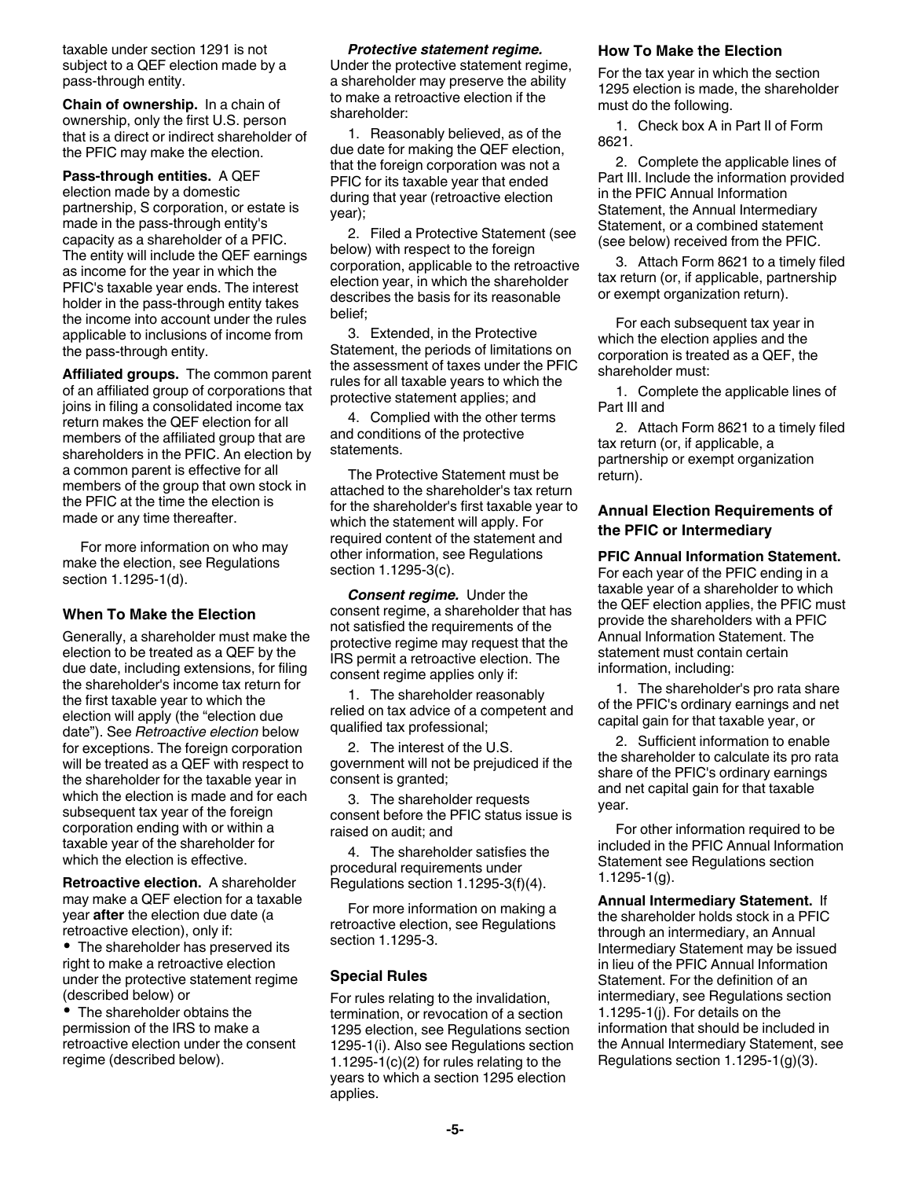taxable under section 1291 is not subject to a QEF election made by a pass-through entity.

**Chain of ownership.** In a chain of ownership, only the first U.S. person that is a direct or indirect shareholder of the PFIC may make the election.

**Pass-through entities.** A QEF election made by a domestic partnership, S corporation, or estate is made in the pass-through entity's capacity as a shareholder of a PFIC. The entity will include the QEF earnings as income for the year in which the PFIC's taxable year ends. The interest holder in the pass-through entity takes the income into account under the rules applicable to inclusions of income from the pass-through entity.

**Affiliated groups.** The common parent of an affiliated group of corporations that joins in filing a consolidated income tax return makes the QEF election for all members of the affiliated group that are shareholders in the PFIC. An election by a common parent is effective for all members of the group that own stock in the PFIC at the time the election is made or any time thereafter.

For more information on who may make the election, see Regulations section 1.1295-1(d).

#### **When To Make the Election**

Generally, a shareholder must make the election to be treated as a QEF by the due date, including extensions, for filing the shareholder's income tax return for the first taxable year to which the election will apply (the "election due date"). See *Retroactive election* below for exceptions. The foreign corporation will be treated as a QEF with respect to the shareholder for the taxable year in which the election is made and for each subsequent tax year of the foreign corporation ending with or within a taxable year of the shareholder for which the election is effective.

**Retroactive election.** A shareholder may make a QEF election for a taxable year **after** the election due date (a retroactive election), only if:

• The shareholder has preserved its right to make a retroactive election under the protective statement regime (described below) or

• The shareholder obtains the permission of the IRS to make a retroactive election under the consent regime (described below).

#### *Protective statement regime.*

Under the protective statement regime, a shareholder may preserve the ability to make a retroactive election if the shareholder:

1. Reasonably believed, as of the due date for making the QEF election, that the foreign corporation was not a PFIC for its taxable year that ended during that year (retroactive election year);

2. Filed a Protective Statement (see below) with respect to the foreign corporation, applicable to the retroactive election year, in which the shareholder describes the basis for its reasonable belief;

3. Extended, in the Protective Statement, the periods of limitations on the assessment of taxes under the PFIC rules for all taxable years to which the protective statement applies; and

4. Complied with the other terms and conditions of the protective statements.

The Protective Statement must be attached to the shareholder's tax return for the shareholder's first taxable year to which the statement will apply. For required content of the statement and other information, see Regulations section 1.1295-3(c).

*Consent regime.* Under the consent regime, a shareholder that has not satisfied the requirements of the protective regime may request that the IRS permit a retroactive election. The consent regime applies only if:

1. The shareholder reasonably relied on tax advice of a competent and qualified tax professional;

2. The interest of the U.S. government will not be prejudiced if the consent is granted;

3. The shareholder requests consent before the PFIC status issue is raised on audit; and

4. The shareholder satisfies the procedural requirements under Regulations section 1.1295-3(f)(4).

For more information on making a retroactive election, see Regulations section 1.1295-3.

#### **Special Rules**

For rules relating to the invalidation, termination, or revocation of a section 1295 election, see Regulations section 1295-1(i). Also see Regulations section 1.1295-1(c)(2) for rules relating to the years to which a section 1295 election applies.

#### **How To Make the Election**

For the tax year in which the section 1295 election is made, the shareholder must do the following.

1. Check box A in Part II of Form 8621.

2. Complete the applicable lines of Part III. Include the information provided in the PFIC Annual Information Statement, the Annual Intermediary Statement, or a combined statement (see below) received from the PFIC.

3. Attach Form 8621 to a timely filed tax return (or, if applicable, partnership or exempt organization return).

For each subsequent tax year in which the election applies and the corporation is treated as a QEF, the shareholder must:

1. Complete the applicable lines of Part III and

2. Attach Form 8621 to a timely filed tax return (or, if applicable, a partnership or exempt organization return).

#### **Annual Election Requirements of the PFIC or Intermediary**

**PFIC Annual Information Statement.**  For each year of the PFIC ending in a taxable year of a shareholder to which the QEF election applies, the PFIC must provide the shareholders with a PFIC Annual Information Statement. The statement must contain certain information, including:

1. The shareholder's pro rata share of the PFIC's ordinary earnings and net capital gain for that taxable year, or

2. Sufficient information to enable the shareholder to calculate its pro rata share of the PFIC's ordinary earnings and net capital gain for that taxable year.

For other information required to be included in the PFIC Annual Information Statement see Regulations section 1.1295-1(g).

**Annual Intermediary Statement.** If the shareholder holds stock in a PFIC through an intermediary, an Annual Intermediary Statement may be issued in lieu of the PFIC Annual Information Statement. For the definition of an intermediary, see Regulations section 1.1295-1(j). For details on the information that should be included in the Annual Intermediary Statement, see Regulations section 1.1295-1(g)(3).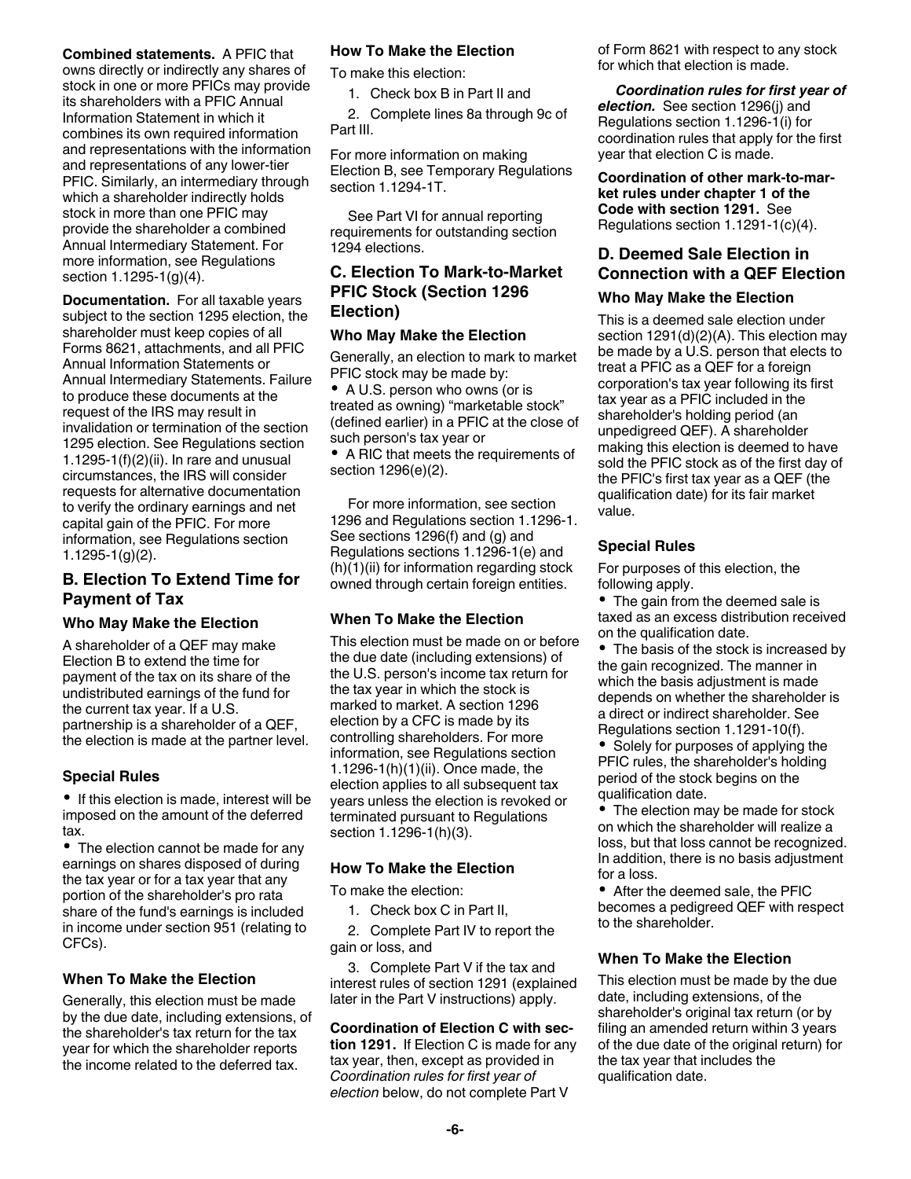#### **Combined statements.** A PFIC that owns directly or indirectly any shares of stock in one or more PFICs may provide its shareholders with a PFIC Annual Information Statement in which it combines its own required information and representations with the information and representations of any lower-tier PFIC. Similarly, an intermediary through which a shareholder indirectly holds stock in more than one PFIC may provide the shareholder a combined Annual Intermediary Statement. For more information, see Regulations section 1.1295-1(g)(4).

**Documentation.** For all taxable years subject to the section 1295 election, the shareholder must keep copies of all Forms 8621, attachments, and all PFIC Annual Information Statements or Annual Intermediary Statements. Failure to produce these documents at the request of the IRS may result in invalidation or termination of the section 1295 election. See Regulations section 1.1295-1(f)(2)(ii). In rare and unusual circumstances, the IRS will consider requests for alternative documentation to verify the ordinary earnings and net capital gain of the PFIC. For more information, see Regulations section 1.1295-1(g)(2).

# **B. Election To Extend Time for Payment of Tax**

#### **Who May Make the Election**

A shareholder of a QEF may make Election B to extend the time for payment of the tax on its share of the undistributed earnings of the fund for the current tax year. If a U.S. partnership is a shareholder of a QEF, the election is made at the partner level.

#### **Special Rules**

• If this election is made, interest will be imposed on the amount of the deferred tax.

• The election cannot be made for any earnings on shares disposed of during the tax year or for a tax year that any portion of the shareholder's pro rata share of the fund's earnings is included in income under section 951 (relating to CFCs).

# **When To Make the Election**

Generally, this election must be made by the due date, including extensions, of the shareholder's tax return for the tax year for which the shareholder reports the income related to the deferred tax.

#### **How To Make the Election**

To make this election:

1. Check box B in Part II and

2. Complete lines 8a through 9c of Part III.

For more information on making Election B, see Temporary Regulations section 1.1294-1T.

See Part VI for annual reporting requirements for outstanding section 1294 elections.

# **C. Election To Mark-to-Market PFIC Stock (Section 1296 Election)**

#### **Who May Make the Election**

Generally, an election to mark to market PFIC stock may be made by:

• A U.S. person who owns (or is treated as owning) "marketable stock" (defined earlier) in a PFIC at the close of such person's tax year or

• A RIC that meets the requirements of section 1296(e)(2).

For more information, see section 1296 and Regulations section 1.1296-1. See sections 1296(f) and (g) and Regulations sections 1.1296-1(e) and  $(h)(1)(ii)$  for information regarding stock owned through certain foreign entities.

# **When To Make the Election**

This election must be made on or before the due date (including extensions) of the U.S. person's income tax return for the tax year in which the stock is marked to market. A section 1296 election by a CFC is made by its controlling shareholders. For more information, see Regulations section 1.1296-1(h)(1)(ii). Once made, the election applies to all subsequent tax years unless the election is revoked or terminated pursuant to Regulations section 1.1296-1(h)(3).

#### **How To Make the Election**

To make the election:

1. Check box C in Part II,

2. Complete Part IV to report the gain or loss, and

3. Complete Part V if the tax and interest rules of section 1291 (explained later in the Part V instructions) apply.

# **Coordination of Election C with sec-**

**tion 1291.** If Election C is made for any tax year, then, except as provided in *Coordination rules for first year of election* below, do not complete Part V

of Form 8621 with respect to any stock for which that election is made.

## *Coordination rules for first year of*

*election.* See section 1296(j) and Regulations section 1.1296-1(i) for coordination rules that apply for the first year that election C is made.

**Coordination of other mark-to-market rules under chapter 1 of the Code with section 1291.** See Regulations section 1.1291-1(c)(4).

# **D. Deemed Sale Election in Connection with a QEF Election**

#### **Who May Make the Election**

This is a deemed sale election under section 1291(d)(2)(A). This election may be made by a U.S. person that elects to treat a PFIC as a QEF for a foreign corporation's tax year following its first tax year as a PFIC included in the shareholder's holding period (an unpedigreed QEF). A shareholder making this election is deemed to have sold the PFIC stock as of the first day of the PFIC's first tax year as a QEF (the qualification date) for its fair market value.

#### **Special Rules**

For purposes of this election, the following apply.

• The gain from the deemed sale is taxed as an excess distribution received on the qualification date.

• The basis of the stock is increased by the gain recognized. The manner in which the basis adjustment is made depends on whether the shareholder is a direct or indirect shareholder. See Regulations section 1.1291-10(f).

• Solely for purposes of applying the PFIC rules, the shareholder's holding period of the stock begins on the qualification date.

The election may be made for stock on which the shareholder will realize a loss, but that loss cannot be recognized. In addition, there is no basis adjustment for a loss.

After the deemed sale, the PFIC becomes a pedigreed QEF with respect to the shareholder.

#### **When To Make the Election**

This election must be made by the due date, including extensions, of the shareholder's original tax return (or by filing an amended return within 3 years of the due date of the original return) for the tax year that includes the qualification date.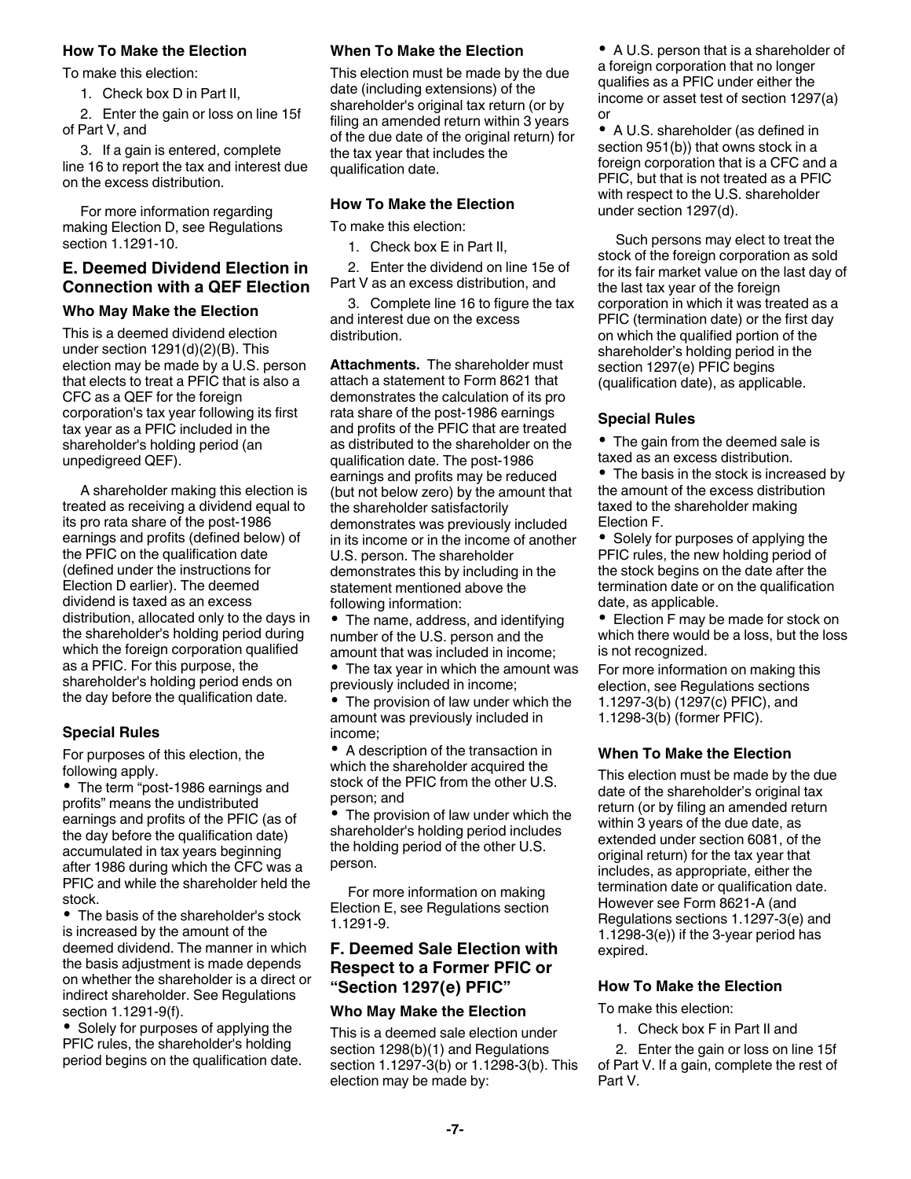#### **How To Make the Election**

To make this election:

1. Check box D in Part II,

2. Enter the gain or loss on line 15f of Part V, and

3. If a gain is entered, complete line 16 to report the tax and interest due on the excess distribution.

For more information regarding making Election D, see Regulations section 1.1291-10.

# **E. Deemed Dividend Election in Connection with a QEF Election**

## **Who May Make the Election**

This is a deemed dividend election under section 1291(d)(2)(B). This election may be made by a U.S. person that elects to treat a PFIC that is also a CFC as a QEF for the foreign corporation's tax year following its first tax year as a PFIC included in the shareholder's holding period (an unpedigreed QEF).

A shareholder making this election is treated as receiving a dividend equal to its pro rata share of the post-1986 earnings and profits (defined below) of the PFIC on the qualification date (defined under the instructions for Election D earlier). The deemed dividend is taxed as an excess distribution, allocated only to the days in the shareholder's holding period during which the foreign corporation qualified as a PFIC. For this purpose, the shareholder's holding period ends on the day before the qualification date.

# **Special Rules**

For purposes of this election, the following apply.

• The term "post-1986 earnings and profits" means the undistributed earnings and profits of the PFIC (as of the day before the qualification date) accumulated in tax years beginning after 1986 during which the CFC was a PFIC and while the shareholder held the stock.

• The basis of the shareholder's stock is increased by the amount of the deemed dividend. The manner in which the basis adjustment is made depends on whether the shareholder is a direct or indirect shareholder. See Regulations section 1.1291-9(f).

• Solely for purposes of applying the PFIC rules, the shareholder's holding period begins on the qualification date.

#### **When To Make the Election**

This election must be made by the due date (including extensions) of the shareholder's original tax return (or by filing an amended return within 3 years of the due date of the original return) for the tax year that includes the qualification date.

## **How To Make the Election**

To make this election:

1. Check box E in Part II,

2. Enter the dividend on line 15e of Part V as an excess distribution, and

3. Complete line 16 to figure the tax and interest due on the excess distribution.

**Attachments.** The shareholder must attach a statement to Form 8621 that demonstrates the calculation of its pro rata share of the post-1986 earnings and profits of the PFIC that are treated as distributed to the shareholder on the qualification date. The post-1986 earnings and profits may be reduced (but not below zero) by the amount that the shareholder satisfactorily demonstrates was previously included in its income or in the income of another U.S. person. The shareholder demonstrates this by including in the statement mentioned above the following information:

• The name, address, and identifying number of the U.S. person and the amount that was included in income;

• The tax year in which the amount was previously included in income;

The provision of law under which the amount was previously included in income;

 $\bullet$ A description of the transaction in which the shareholder acquired the stock of the PFIC from the other U.S. person; and

• The provision of law under which the shareholder's holding period includes the holding period of the other U.S. person.

For more information on making Election E, see Regulations section 1.1291-9.

# **F. Deemed Sale Election with Respect to a Former PFIC or "Section 1297(e) PFIC"**

#### **Who May Make the Election**

This is a deemed sale election under section 1298(b)(1) and Regulations section 1.1297-3(b) or 1.1298-3(b). This election may be made by:

A U.S. person that is a shareholder of a foreign corporation that no longer qualifies as a PFIC under either the income or asset test of section 1297(a) or

• A U.S. shareholder (as defined in section 951(b)) that owns stock in a foreign corporation that is a CFC and a PFIC, but that is not treated as a PFIC with respect to the U.S. shareholder under section 1297(d).

Such persons may elect to treat the stock of the foreign corporation as sold for its fair market value on the last day of the last tax year of the foreign corporation in which it was treated as a PFIC (termination date) or the first day on which the qualified portion of the shareholder's holding period in the section 1297(e) PFIC begins (qualification date), as applicable.

#### **Special Rules**

• The gain from the deemed sale is taxed as an excess distribution.

• The basis in the stock is increased by the amount of the excess distribution taxed to the shareholder making Election F.

• Solely for purposes of applying the PFIC rules, the new holding period of the stock begins on the date after the termination date or on the qualification date, as applicable.

• Election F may be made for stock on which there would be a loss, but the loss is not recognized.

For more information on making this election, see Regulations sections 1.1297-3(b) (1297(c) PFIC), and 1.1298-3(b) (former PFIC).

# **When To Make the Election**

This election must be made by the due date of the shareholder's original tax return (or by filing an amended return within 3 years of the due date, as extended under section 6081, of the original return) for the tax year that includes, as appropriate, either the termination date or qualification date. However see Form 8621-A (and Regulations sections 1.1297-3(e) and 1.1298-3(e)) if the 3-year period has expired.

#### **How To Make the Election**

To make this election:

1. Check box F in Part II and

2. Enter the gain or loss on line 15f of Part V. If a gain, complete the rest of Part V.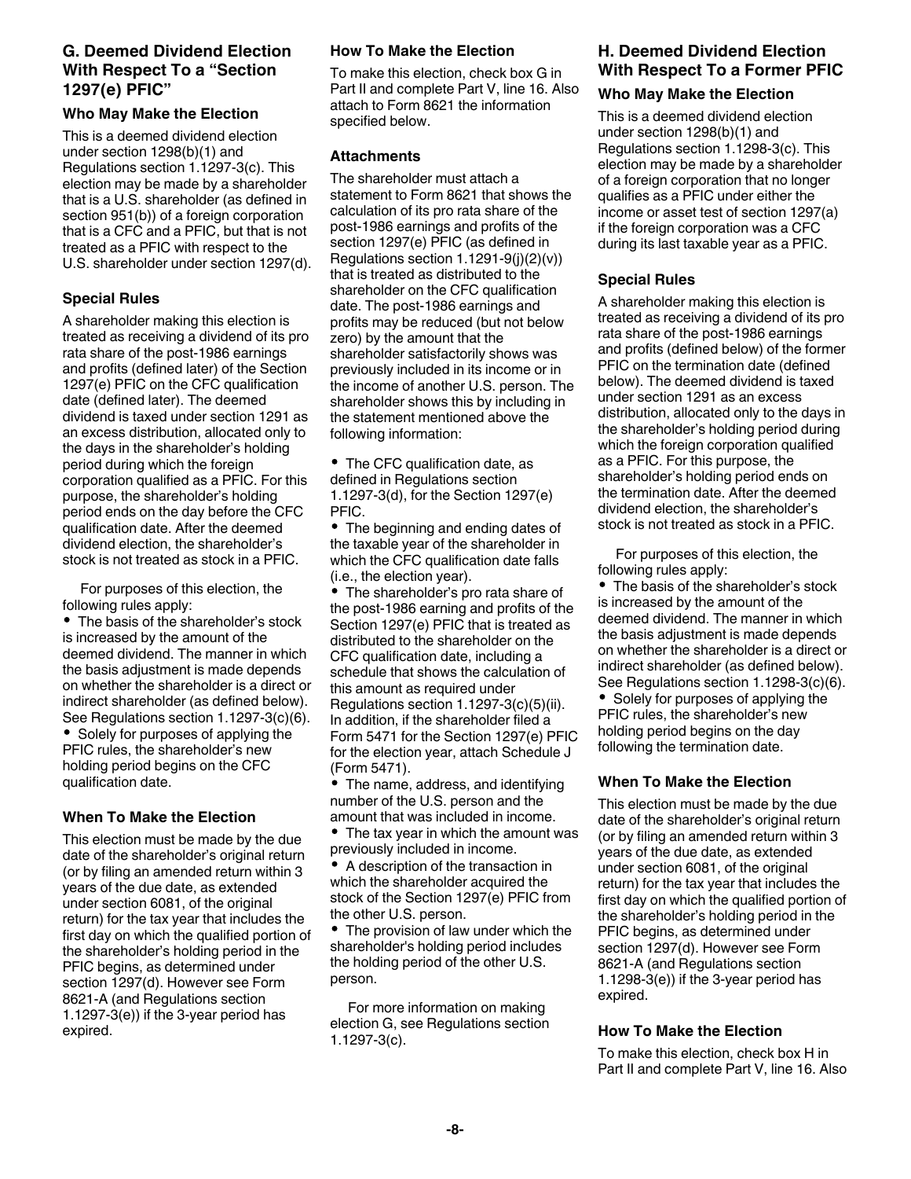# **G. Deemed Dividend Election With Respect To a "Section 1297(e) PFIC"**

# **Who May Make the Election**

This is a deemed dividend election under section 1298(b)(1) and Regulations section 1.1297-3(c). This election may be made by a shareholder that is a U.S. shareholder (as defined in section 951(b)) of a foreign corporation that is a CFC and a PFIC, but that is not treated as a PFIC with respect to the U.S. shareholder under section 1297(d).

# **Special Rules**

A shareholder making this election is treated as receiving a dividend of its pro rata share of the post-1986 earnings and profits (defined later) of the Section 1297(e) PFIC on the CFC qualification date (defined later). The deemed dividend is taxed under section 1291 as an excess distribution, allocated only to the days in the shareholder's holding period during which the foreign corporation qualified as a PFIC. For this purpose, the shareholder's holding period ends on the day before the CFC qualification date. After the deemed dividend election, the shareholder's stock is not treated as stock in a PFIC.

For purposes of this election, the following rules apply:

• The basis of the shareholder's stock is increased by the amount of the deemed dividend. The manner in which the basis adjustment is made depends on whether the shareholder is a direct or indirect shareholder (as defined below). See Regulations section 1.1297-3(c)(6). • Solely for purposes of applying the PFIC rules, the shareholder's new holding period begins on the CFC qualification date.

# **When To Make the Election**

This election must be made by the due date of the shareholder's original return (or by filing an amended return within 3 years of the due date, as extended under section 6081, of the original return) for the tax year that includes the first day on which the qualified portion of the shareholder's holding period in the PFIC begins, as determined under section 1297(d). However see Form 8621-A (and Regulations section 1.1297-3(e)) if the 3-year period has expired.

# **How To Make the Election**

To make this election, check box G in Part II and complete Part V, line 16. Also attach to Form 8621 the information specified below.

# **Attachments**

The shareholder must attach a statement to Form 8621 that shows the calculation of its pro rata share of the post-1986 earnings and profits of the section 1297(e) PFIC (as defined in Regulations section  $1.1291-9(i)(2)(v)$ ) that is treated as distributed to the shareholder on the CFC qualification date. The post-1986 earnings and profits may be reduced (but not below zero) by the amount that the shareholder satisfactorily shows was previously included in its income or in the income of another U.S. person. The shareholder shows this by including in the statement mentioned above the following information:

• The CFC qualification date, as defined in Regulations section 1.1297-3(d), for the Section 1297(e) PFIC.

The beginning and ending dates of the taxable year of the shareholder in which the CFC qualification date falls (i.e., the election year).

The shareholder's pro rata share of the post-1986 earning and profits of the Section 1297(e) PFIC that is treated as distributed to the shareholder on the CFC qualification date, including a schedule that shows the calculation of this amount as required under Regulations section 1.1297-3(c)(5)(ii). In addition, if the shareholder filed a Form 5471 for the Section 1297(e) PFIC for the election year, attach Schedule J (Form 5471).

The name, address, and identifying number of the U.S. person and the amount that was included in income.

• The tax year in which the amount was previously included in income.

A description of the transaction in which the shareholder acquired the stock of the Section 1297(e) PFIC from the other U.S. person.

• The provision of law under which the shareholder's holding period includes the holding period of the other U.S. person.

For more information on making election G, see Regulations section 1.1297-3(c).

# **H. Deemed Dividend Election With Respect To a Former PFIC**

#### **Who May Make the Election**

This is a deemed dividend election under section 1298(b)(1) and Regulations section 1.1298-3(c). This election may be made by a shareholder of a foreign corporation that no longer qualifies as a PFIC under either the income or asset test of section 1297(a) if the foreign corporation was a CFC during its last taxable year as a PFIC.

# **Special Rules**

A shareholder making this election is treated as receiving a dividend of its pro rata share of the post-1986 earnings and profits (defined below) of the former PFIC on the termination date (defined below). The deemed dividend is taxed under section 1291 as an excess distribution, allocated only to the days in the shareholder's holding period during which the foreign corporation qualified as a PFIC. For this purpose, the shareholder's holding period ends on the termination date. After the deemed dividend election, the shareholder's stock is not treated as stock in a PFIC.

For purposes of this election, the following rules apply:

• The basis of the shareholder's stock is increased by the amount of the deemed dividend. The manner in which the basis adjustment is made depends on whether the shareholder is a direct or indirect shareholder (as defined below). See Regulations section 1.1298-3(c)(6).

• Solely for purposes of applying the PFIC rules, the shareholder's new holding period begins on the day following the termination date.

# **When To Make the Election**

This election must be made by the due date of the shareholder's original return (or by filing an amended return within 3 years of the due date, as extended under section 6081, of the original return) for the tax year that includes the first day on which the qualified portion of the shareholder's holding period in the PFIC begins, as determined under section 1297(d). However see Form 8621-A (and Regulations section 1.1298-3(e)) if the 3-year period has expired.

# **How To Make the Election**

To make this election, check box H in Part II and complete Part V, line 16. Also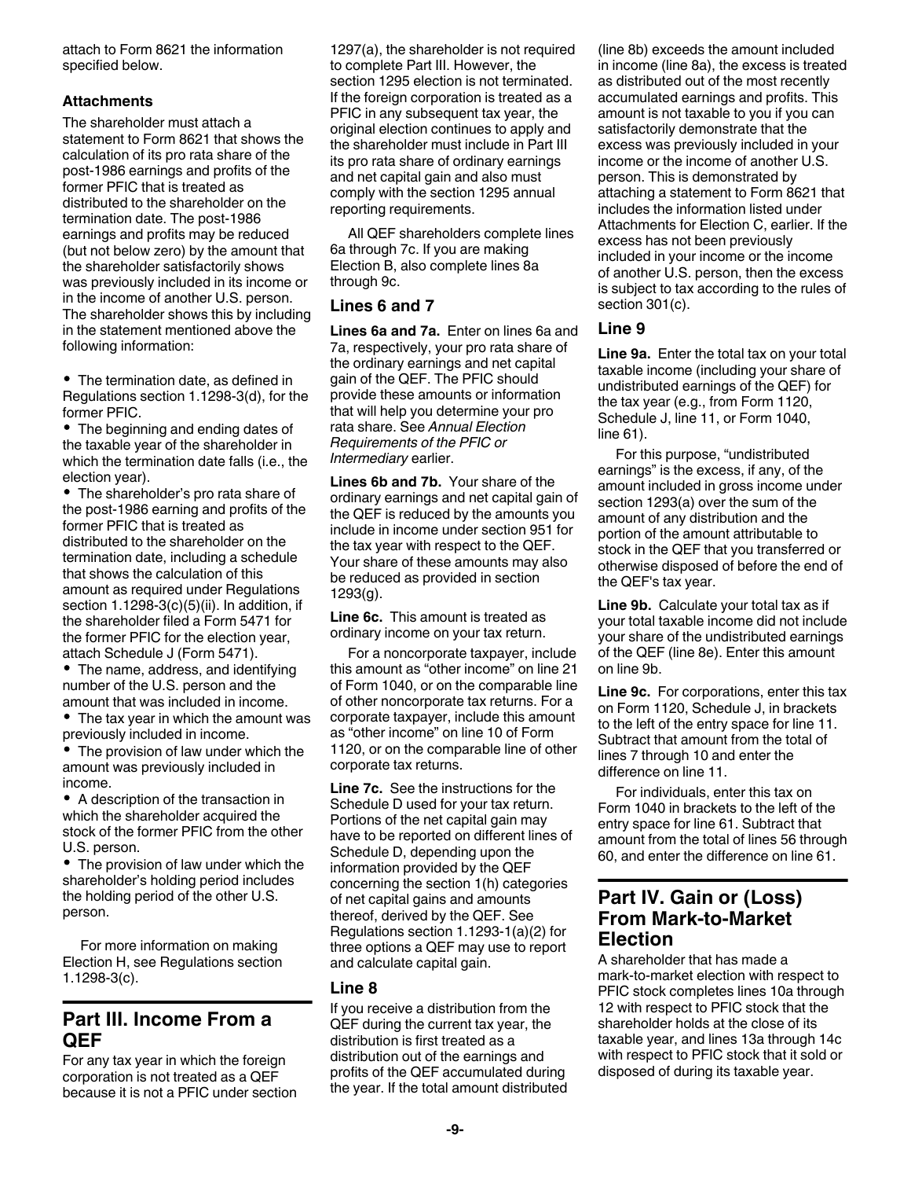attach to Form 8621 the information specified below.

## **Attachments**

The shareholder must attach a statement to Form 8621 that shows the calculation of its pro rata share of the post-1986 earnings and profits of the former PFIC that is treated as distributed to the shareholder on the termination date. The post-1986 earnings and profits may be reduced (but not below zero) by the amount that the shareholder satisfactorily shows was previously included in its income or in the income of another U.S. person. The shareholder shows this by including in the statement mentioned above the following information:

• The termination date, as defined in Regulations section 1.1298-3(d), for the former PFIC.

• The beginning and ending dates of the taxable year of the shareholder in which the termination date falls (i.e., the election year).

• The shareholder's pro rata share of the post-1986 earning and profits of the former PFIC that is treated as distributed to the shareholder on the termination date, including a schedule that shows the calculation of this amount as required under Regulations section 1.1298-3(c)(5)(ii). In addition, if the shareholder filed a Form 5471 for the former PFIC for the election year, attach Schedule J (Form 5471).

The name, address, and identifying number of the U.S. person and the amount that was included in income.

• The tax year in which the amount was previously included in income.

• The provision of law under which the amount was previously included in income.

A description of the transaction in which the shareholder acquired the stock of the former PFIC from the other U.S. person.

The provision of law under which the shareholder's holding period includes the holding period of the other U.S. person.

For more information on making Election H, see Regulations section 1.1298-3(c).

# **Part III. Income From a QEF**

For any tax year in which the foreign corporation is not treated as a QEF because it is not a PFIC under section 1297(a), the shareholder is not required to complete Part III. However, the section 1295 election is not terminated. If the foreign corporation is treated as a PFIC in any subsequent tax year, the original election continues to apply and the shareholder must include in Part III its pro rata share of ordinary earnings and net capital gain and also must comply with the section 1295 annual reporting requirements.

All QEF shareholders complete lines 6a through 7c. If you are making Election B, also complete lines 8a through 9c.

# **Lines 6 and 7**

**Lines 6a and 7a.** Enter on lines 6a and 7a, respectively, your pro rata share of the ordinary earnings and net capital gain of the QEF. The PFIC should provide these amounts or information that will help you determine your pro rata share. See *Annual Election Requirements of the PFIC or Intermediary* earlier.

**Lines 6b and 7b.** Your share of the ordinary earnings and net capital gain of the QEF is reduced by the amounts you include in income under section 951 for the tax year with respect to the QEF. Your share of these amounts may also be reduced as provided in section 1293(g).

**Line 6c.** This amount is treated as ordinary income on your tax return.

For a noncorporate taxpayer, include this amount as "other income" on line 21 of Form 1040, or on the comparable line of other noncorporate tax returns. For a corporate taxpayer, include this amount as "other income" on line 10 of Form 1120, or on the comparable line of other corporate tax returns.

**Line 7c.** See the instructions for the Schedule D used for your tax return. Portions of the net capital gain may have to be reported on different lines of Schedule D, depending upon the information provided by the QEF concerning the section 1(h) categories of net capital gains and amounts thereof, derived by the QEF. See Regulations section 1.1293-1(a)(2) for three options a QEF may use to report and calculate capital gain.

# **Line 8**

If you receive a distribution from the QEF during the current tax year, the distribution is first treated as a distribution out of the earnings and profits of the QEF accumulated during the year. If the total amount distributed (line 8b) exceeds the amount included in income (line 8a), the excess is treated as distributed out of the most recently accumulated earnings and profits. This amount is not taxable to you if you can satisfactorily demonstrate that the excess was previously included in your income or the income of another U.S. person. This is demonstrated by attaching a statement to Form 8621 that includes the information listed under Attachments for Election C, earlier. If the excess has not been previously included in your income or the income of another U.S. person, then the excess is subject to tax according to the rules of section 301(c).

# **Line 9**

**Line 9a.** Enter the total tax on your total taxable income (including your share of undistributed earnings of the QEF) for the tax year (e.g., from Form 1120, Schedule J, line 11, or Form 1040, line 61).

For this purpose, "undistributed earnings" is the excess, if any, of the amount included in gross income under section 1293(a) over the sum of the amount of any distribution and the portion of the amount attributable to stock in the QEF that you transferred or otherwise disposed of before the end of the QEF's tax year.

**Line 9b.** Calculate your total tax as if your total taxable income did not include your share of the undistributed earnings of the QEF (line 8e). Enter this amount on line 9b.

**Line 9c.** For corporations, enter this tax on Form 1120, Schedule J, in brackets to the left of the entry space for line 11. Subtract that amount from the total of lines 7 through 10 and enter the difference on line 11.

For individuals, enter this tax on Form 1040 in brackets to the left of the entry space for line 61. Subtract that amount from the total of lines 56 through 60, and enter the difference on line 61.

# **Part IV. Gain or (Loss) From Mark-to-Market Election**

A shareholder that has made a mark-to-market election with respect to PFIC stock completes lines 10a through 12 with respect to PFIC stock that the shareholder holds at the close of its taxable year, and lines 13a through 14c with respect to PFIC stock that it sold or disposed of during its taxable year.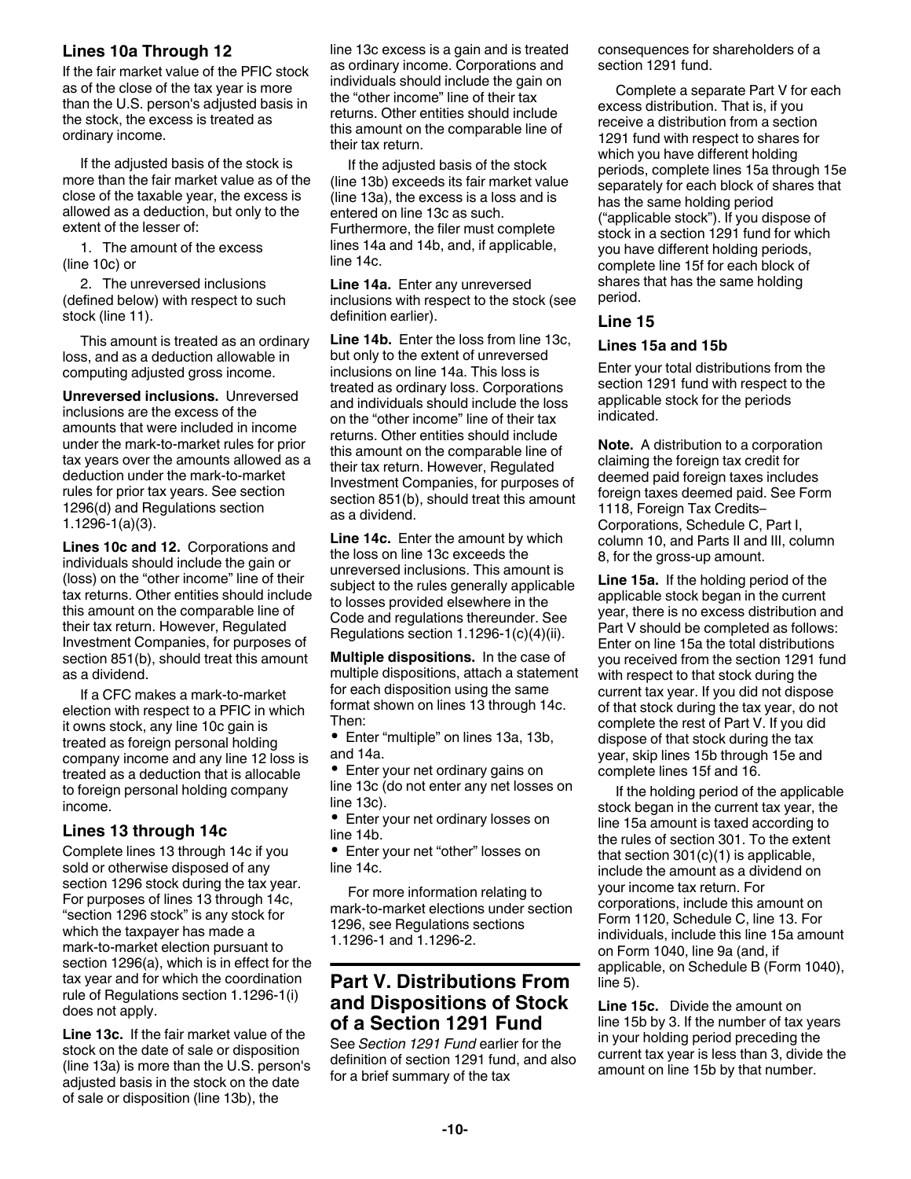# **Lines 10a Through 12**

If the fair market value of the PFIC stock as of the close of the tax year is more than the U.S. person's adjusted basis in the stock, the excess is treated as ordinary income.

If the adjusted basis of the stock is more than the fair market value as of the close of the taxable year, the excess is allowed as a deduction, but only to the extent of the lesser of:

1. The amount of the excess (line 10c) or

2. The unreversed inclusions (defined below) with respect to such stock (line 11).

This amount is treated as an ordinary loss, and as a deduction allowable in computing adjusted gross income.

**Unreversed inclusions.** Unreversed inclusions are the excess of the amounts that were included in income under the mark-to-market rules for prior tax years over the amounts allowed as a deduction under the mark-to-market rules for prior tax years. See section 1296(d) and Regulations section 1.1296-1(a)(3).

**Lines 10c and 12.** Corporations and individuals should include the gain or (loss) on the "other income" line of their tax returns. Other entities should include this amount on the comparable line of their tax return. However, Regulated Investment Companies, for purposes of section 851(b), should treat this amount as a dividend.

If a CFC makes a mark-to-market election with respect to a PFIC in which it owns stock, any line 10c gain is treated as foreign personal holding company income and any line 12 loss is treated as a deduction that is allocable to foreign personal holding company income.

# **Lines 13 through 14c**

Complete lines 13 through 14c if you sold or otherwise disposed of any section 1296 stock during the tax year. For purposes of lines 13 through 14c, "section 1296 stock" is any stock for which the taxpayer has made a mark-to-market election pursuant to section 1296(a), which is in effect for the tax year and for which the coordination rule of Regulations section 1.1296-1(i) does not apply.

**Line 13c.** If the fair market value of the stock on the date of sale or disposition (line 13a) is more than the U.S. person's adjusted basis in the stock on the date of sale or disposition (line 13b), the

line 13c excess is a gain and is treated as ordinary income. Corporations and individuals should include the gain on the "other income" line of their tax returns. Other entities should include this amount on the comparable line of their tax return.

If the adjusted basis of the stock (line 13b) exceeds its fair market value (line 13a), the excess is a loss and is entered on line 13c as such. Furthermore, the filer must complete lines 14a and 14b, and, if applicable, line 14c.

**Line 14a.** Enter any unreversed inclusions with respect to the stock (see definition earlier).

**Line 14b.** Enter the loss from line 13c, but only to the extent of unreversed inclusions on line 14a. This loss is treated as ordinary loss. Corporations and individuals should include the loss on the "other income" line of their tax returns. Other entities should include this amount on the comparable line of their tax return. However, Regulated Investment Companies, for purposes of section 851(b), should treat this amount as a dividend.

**Line 14c.** Enter the amount by which the loss on line 13c exceeds the unreversed inclusions. This amount is subject to the rules generally applicable to losses provided elsewhere in the Code and regulations thereunder. See Regulations section 1.1296-1(c)(4)(ii).

**Multiple dispositions.** In the case of multiple dispositions, attach a statement for each disposition using the same format shown on lines 13 through 14c. Then:

Enter "multiple" on lines 13a, 13b, and 14a.

Enter your net ordinary gains on line 13c (do not enter any net losses on line 13c).

Enter your net ordinary losses on line 14b.

Enter your net "other" losses on line 14c.

For more information relating to mark-to-market elections under section 1296, see Regulations sections 1.1296-1 and 1.1296-2.

# **Part V. Distributions From and Dispositions of Stock of a Section 1291 Fund**

See *Section 1291 Fund* earlier for the definition of section 1291 fund, and also for a brief summary of the tax

consequences for shareholders of a section 1291 fund.

Complete a separate Part V for each excess distribution. That is, if you receive a distribution from a section 1291 fund with respect to shares for which you have different holding periods, complete lines 15a through 15e separately for each block of shares that has the same holding period ("applicable stock"). If you dispose of stock in a section 1291 fund for which you have different holding periods, complete line 15f for each block of shares that has the same holding period.

#### **Line 15**

#### **Lines 15a and 15b**

Enter your total distributions from the section 1291 fund with respect to the applicable stock for the periods indicated.

**Note.** A distribution to a corporation claiming the foreign tax credit for deemed paid foreign taxes includes foreign taxes deemed paid. See Form 1118, Foreign Tax Credits– Corporations, Schedule C, Part I, column 10, and Parts II and III, column 8, for the gross-up amount.

**Line 15a.** If the holding period of the applicable stock began in the current year, there is no excess distribution and Part V should be completed as follows: Enter on line 15a the total distributions you received from the section 1291 fund with respect to that stock during the current tax year. If you did not dispose of that stock during the tax year, do not complete the rest of Part V. If you did dispose of that stock during the tax year, skip lines 15b through 15e and complete lines 15f and 16.

If the holding period of the applicable stock began in the current tax year, the line 15a amount is taxed according to the rules of section 301. To the extent that section 301(c)(1) is applicable, include the amount as a dividend on your income tax return. For corporations, include this amount on Form 1120, Schedule C, line 13. For individuals, include this line 15a amount on Form 1040, line 9a (and, if applicable, on Schedule B (Form 1040), line 5).

**Line 15c.** Divide the amount on line 15b by 3. If the number of tax years in your holding period preceding the current tax year is less than 3, divide the amount on line 15b by that number.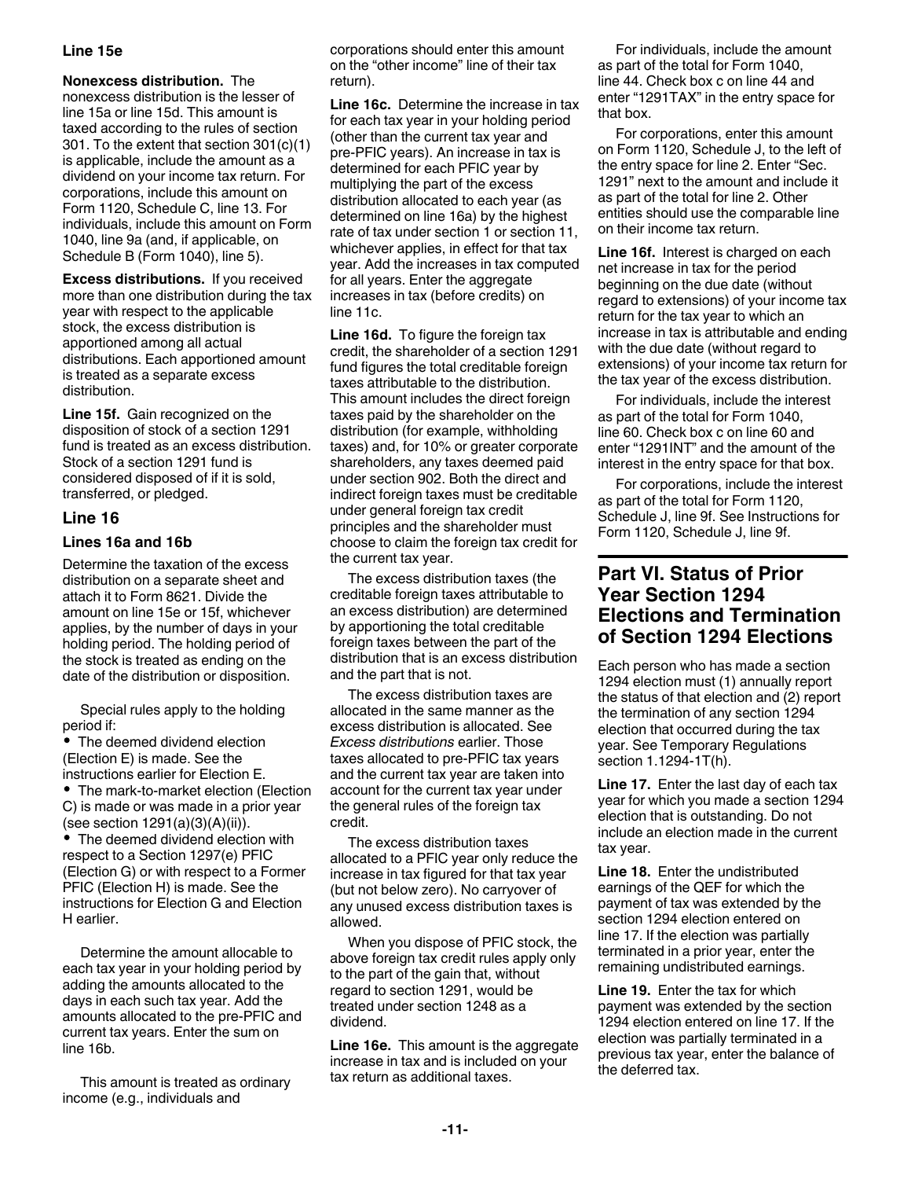#### **Line 15e**

**Nonexcess distribution.** The nonexcess distribution is the lesser of line 15a or line 15d. This amount is taxed according to the rules of section 301. To the extent that section 301(c)(1) is applicable, include the amount as a dividend on your income tax return. For corporations, include this amount on Form 1120, Schedule C, line 13. For individuals, include this amount on Form 1040, line 9a (and, if applicable, on Schedule B (Form 1040), line 5).

**Excess distributions.** If you received more than one distribution during the tax year with respect to the applicable stock, the excess distribution is apportioned among all actual distributions. Each apportioned amount is treated as a separate excess distribution.

**Line 15f.** Gain recognized on the disposition of stock of a section 1291 fund is treated as an excess distribution. Stock of a section 1291 fund is considered disposed of if it is sold, transferred, or pledged.

## **Line 16**

#### **Lines 16a and 16b**

Determine the taxation of the excess distribution on a separate sheet and attach it to Form 8621. Divide the amount on line 15e or 15f, whichever applies, by the number of days in your holding period. The holding period of the stock is treated as ending on the date of the distribution or disposition.

Special rules apply to the holding period if:

The deemed dividend election (Election E) is made. See the instructions earlier for Election E. • The mark-to-market election (Election C) is made or was made in a prior year (see section 1291(a)(3)(A)(ii)).

• The deemed dividend election with respect to a Section 1297(e) PFIC (Election G) or with respect to a Former PFIC (Election H) is made. See the instructions for Election G and Election H earlier.

Determine the amount allocable to each tax year in your holding period by adding the amounts allocated to the days in each such tax year. Add the amounts allocated to the pre-PFIC and current tax years. Enter the sum on line 16b.

This amount is treated as ordinary income (e.g., individuals and

corporations should enter this amount on the "other income" line of their tax return).

**Line 16c.** Determine the increase in tax for each tax year in your holding period (other than the current tax year and pre-PFIC years). An increase in tax is determined for each PFIC year by multiplying the part of the excess distribution allocated to each year (as determined on line 16a) by the highest rate of tax under section 1 or section 11, whichever applies, in effect for that tax year. Add the increases in tax computed for all years. Enter the aggregate increases in tax (before credits) on line 11c.

**Line 16d.** To figure the foreign tax credit, the shareholder of a section 1291 fund figures the total creditable foreign taxes attributable to the distribution. This amount includes the direct foreign taxes paid by the shareholder on the distribution (for example, withholding taxes) and, for 10% or greater corporate shareholders, any taxes deemed paid under section 902. Both the direct and indirect foreign taxes must be creditable under general foreign tax credit principles and the shareholder must choose to claim the foreign tax credit for the current tax year.

The excess distribution taxes (the creditable foreign taxes attributable to an excess distribution) are determined by apportioning the total creditable foreign taxes between the part of the distribution that is an excess distribution and the part that is not.

The excess distribution taxes are allocated in the same manner as the excess distribution is allocated. See *Excess distributions* earlier. Those taxes allocated to pre-PFIC tax years and the current tax year are taken into account for the current tax year under the general rules of the foreign tax credit.

The excess distribution taxes allocated to a PFIC year only reduce the increase in tax figured for that tax year (but not below zero). No carryover of any unused excess distribution taxes is allowed.

When you dispose of PFIC stock, the above foreign tax credit rules apply only to the part of the gain that, without regard to section 1291, would be treated under section 1248 as a dividend.

**Line 16e.** This amount is the aggregate increase in tax and is included on your tax return as additional taxes.

For individuals, include the amount as part of the total for Form 1040, line 44. Check box c on line 44 and enter "1291TAX" in the entry space for that box.

For corporations, enter this amount on Form 1120, Schedule J, to the left of the entry space for line 2. Enter "Sec. 1291" next to the amount and include it as part of the total for line 2. Other entities should use the comparable line on their income tax return.

**Line 16f.** Interest is charged on each net increase in tax for the period beginning on the due date (without regard to extensions) of your income tax return for the tax year to which an increase in tax is attributable and ending with the due date (without regard to extensions) of your income tax return for the tax year of the excess distribution.

For individuals, include the interest as part of the total for Form 1040, line 60. Check box c on line 60 and enter "1291INT" and the amount of the interest in the entry space for that box.

For corporations, include the interest as part of the total for Form 1120, Schedule J, line 9f. See Instructions for Form 1120, Schedule J, line 9f.

# **Part VI. Status of Prior Year Section 1294 Elections and Termination of Section 1294 Elections**

Each person who has made a section 1294 election must (1) annually report the status of that election and (2) report the termination of any section 1294 election that occurred during the tax year. See Temporary Regulations section 1.1294-1T(h).

**Line 17.** Enter the last day of each tax year for which you made a section 1294 election that is outstanding. Do not include an election made in the current tax year.

**Line 18.** Enter the undistributed earnings of the QEF for which the payment of tax was extended by the section 1294 election entered on line 17. If the election was partially terminated in a prior year, enter the remaining undistributed earnings.

**Line 19.** Enter the tax for which payment was extended by the section 1294 election entered on line 17. If the election was partially terminated in a previous tax year, enter the balance of the deferred tax.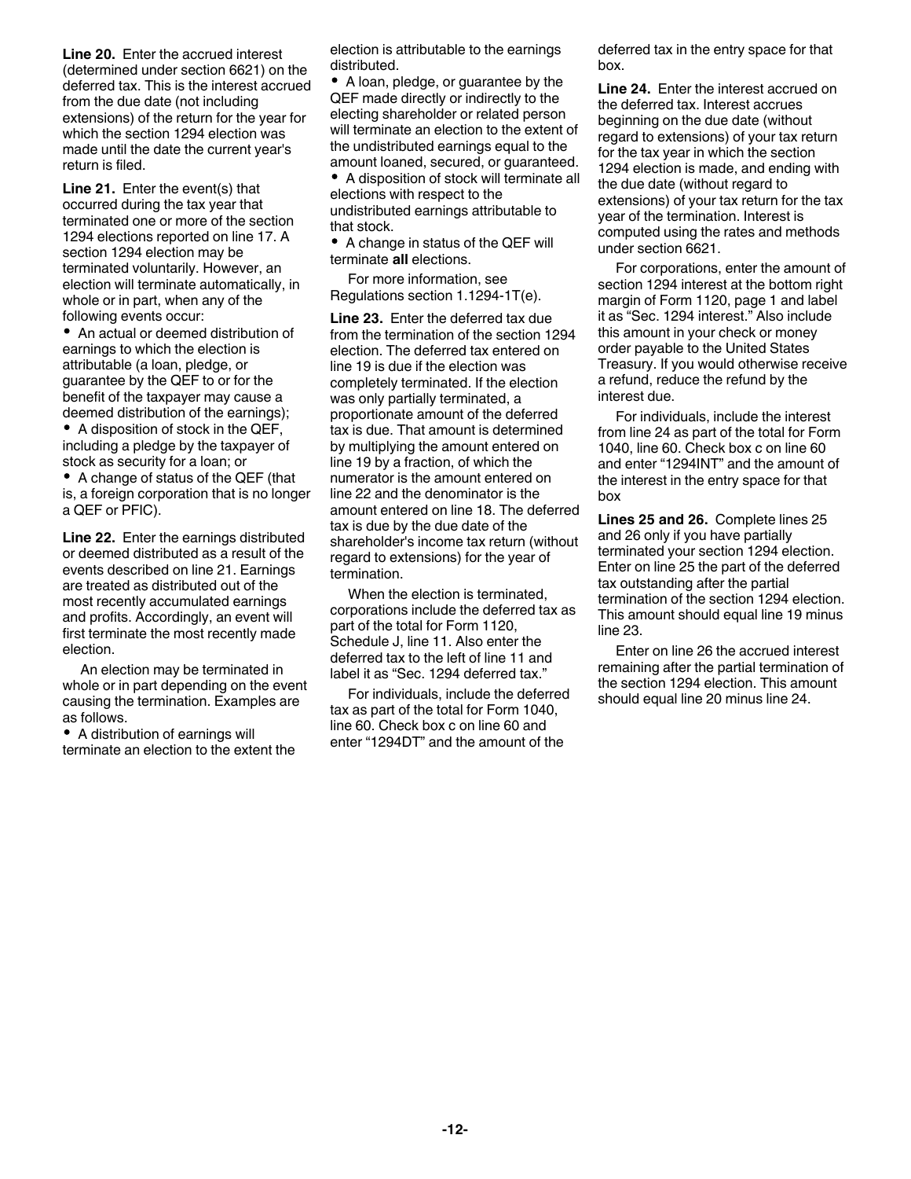**Line 20.** Enter the accrued interest (determined under section 6621) on the deferred tax. This is the interest accrued from the due date (not including extensions) of the return for the year for which the section 1294 election was made until the date the current year's return is filed.

**Line 21.** Enter the event(s) that occurred during the tax year that terminated one or more of the section 1294 elections reported on line 17. A section 1294 election may be terminated voluntarily. However, an election will terminate automatically, in whole or in part, when any of the following events occur:

An actual or deemed distribution of earnings to which the election is attributable (a loan, pledge, or guarantee by the QEF to or for the benefit of the taxpayer may cause a deemed distribution of the earnings);

• A disposition of stock in the QEF, including a pledge by the taxpayer of stock as security for a loan; or

A change of status of the QEF (that is, a foreign corporation that is no longer a QEF or PFIC).

**Line 22.** Enter the earnings distributed or deemed distributed as a result of the events described on line 21. Earnings are treated as distributed out of the most recently accumulated earnings and profits. Accordingly, an event will first terminate the most recently made election.

An election may be terminated in whole or in part depending on the event causing the termination. Examples are as follows.

• A distribution of earnings will terminate an election to the extent the election is attributable to the earnings distributed.

A loan, pledge, or guarantee by the QEF made directly or indirectly to the electing shareholder or related person will terminate an election to the extent of the undistributed earnings equal to the amount loaned, secured, or guaranteed.

A disposition of stock will terminate all elections with respect to the undistributed earnings attributable to that stock.

• A change in status of the QEF will terminate **all** elections.

For more information, see Regulations section 1.1294-1T(e).

**Line 23.** Enter the deferred tax due from the termination of the section 1294 election. The deferred tax entered on line 19 is due if the election was completely terminated. If the election was only partially terminated, a proportionate amount of the deferred tax is due. That amount is determined by multiplying the amount entered on line 19 by a fraction, of which the numerator is the amount entered on line 22 and the denominator is the amount entered on line 18. The deferred tax is due by the due date of the shareholder's income tax return (without regard to extensions) for the year of termination.

When the election is terminated, corporations include the deferred tax as part of the total for Form 1120, Schedule J, line 11. Also enter the deferred tax to the left of line 11 and label it as "Sec. 1294 deferred tax."

For individuals, include the deferred tax as part of the total for Form 1040, line 60. Check box c on line 60 and enter "1294DT" and the amount of the

deferred tax in the entry space for that box.

**Line 24.** Enter the interest accrued on the deferred tax. Interest accrues beginning on the due date (without regard to extensions) of your tax return for the tax year in which the section 1294 election is made, and ending with the due date (without regard to extensions) of your tax return for the tax year of the termination. Interest is computed using the rates and methods under section 6621.

For corporations, enter the amount of section 1294 interest at the bottom right margin of Form 1120, page 1 and label it as "Sec. 1294 interest." Also include this amount in your check or money order payable to the United States Treasury. If you would otherwise receive a refund, reduce the refund by the interest due.

For individuals, include the interest from line 24 as part of the total for Form 1040, line 60. Check box c on line 60 and enter "1294INT" and the amount of the interest in the entry space for that box

**Lines 25 and 26.** Complete lines 25 and 26 only if you have partially terminated your section 1294 election. Enter on line 25 the part of the deferred tax outstanding after the partial termination of the section 1294 election. This amount should equal line 19 minus line 23.

Enter on line 26 the accrued interest remaining after the partial termination of the section 1294 election. This amount should equal line 20 minus line 24.